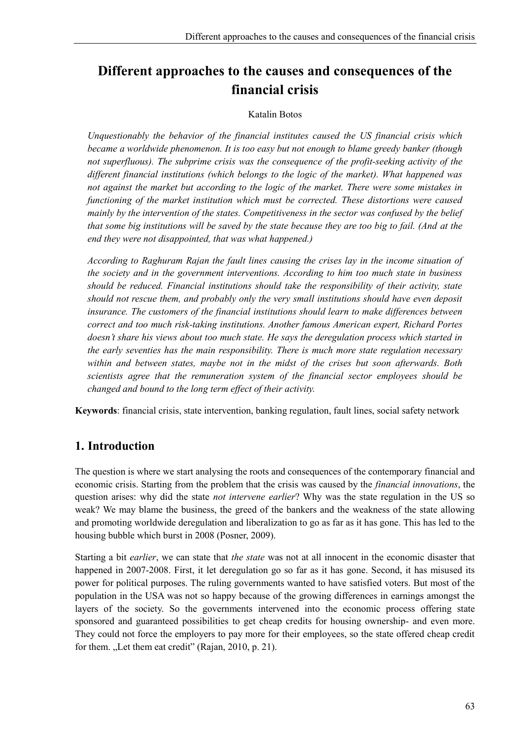# **Different approaches to the causes and consequences of the financial crisis**

#### Katalin Botos

*Unquestionably the behavior of the financial institutes caused the US financial crisis which became a worldwide phenomenon. It is too easy but not enough to blame greedy banker (though not superfluous). The subprime crisis was the consequence of the profit-seeking activity of the different financial institutions (which belongs to the logic of the market). What happened was not against the market but according to the logic of the market. There were some mistakes in functioning of the market institution which must be corrected. These distortions were caused mainly by the intervention of the states. Competitiveness in the sector was confused by the belief that some big institutions will be saved by the state because they are too big to fail. (And at the end they were not disappointed, that was what happened.)* 

*According to Raghuram Rajan the fault lines causing the crises lay in the income situation of the society and in the government interventions. According to him too much state in business should be reduced. Financial institutions should take the responsibility of their activity, state should not rescue them, and probably only the very small institutions should have even deposit insurance. The customers of the financial institutions should learn to make differences between correct and too much risk-taking institutions. Another famous American expert, Richard Portes doesn't share his views about too much state. He says the deregulation process which started in the early seventies has the main responsibility. There is much more state regulation necessary within and between states, maybe not in the midst of the crises but soon afterwards. Both scientists agree that the remuneration system of the financial sector employees should be changed and bound to the long term effect of their activity.*

**Keywords**: financial crisis, state intervention, banking regulation, fault lines, social safety network

# **1. Introduction**

The question is where we start analysing the roots and consequences of the contemporary financial and economic crisis. Starting from the problem that the crisis was caused by the *financial innovations*, the question arises: why did the state *not intervene earlier*? Why was the state regulation in the US so weak? We may blame the business, the greed of the bankers and the weakness of the state allowing and promoting worldwide deregulation and liberalization to go as far as it has gone. This has led to the housing bubble which burst in 2008 (Posner, 2009).

Starting a bit *earlier*, we can state that *the state* was not at all innocent in the economic disaster that happened in 2007-2008. First, it let deregulation go so far as it has gone. Second, it has misused its power for political purposes. The ruling governments wanted to have satisfied voters. But most of the population in the USA was not so happy because of the growing differences in earnings amongst the layers of the society. So the governments intervened into the economic process offering state sponsored and guaranteed possibilities to get cheap credits for housing ownership- and even more. They could not force the employers to pay more for their employees, so the state offered cheap credit for them. "Let them eat credit" (Rajan, 2010, p. 21).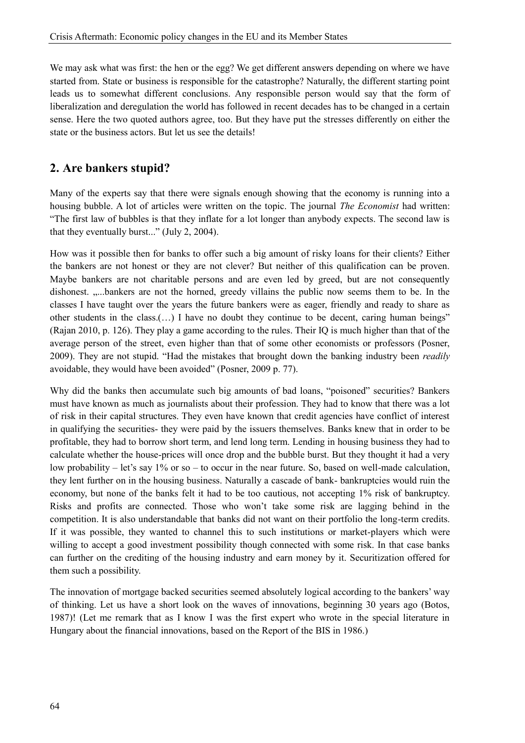We may ask what was first: the hen or the egg? We get different answers depending on where we have started from. State or business is responsible for the catastrophe? Naturally, the different starting point leads us to somewhat different conclusions. Any responsible person would say that the form of liberalization and deregulation the world has followed in recent decades has to be changed in a certain sense. Here the two quoted authors agree, too. But they have put the stresses differently on either the state or the business actors. But let us see the details!

# **2. Are bankers stupid?**

Many of the experts say that there were signals enough showing that the economy is running into a housing bubble. A lot of articles were written on the topic. The journal *The Economist* had written: "The first law of bubbles is that they inflate for a lot longer than anybody expects. The second law is that they eventually burst..." (July 2, 2004).

How was it possible then for banks to offer such a big amount of risky loans for their clients? Either the bankers are not honest or they are not clever? But neither of this qualification can be proven. Maybe bankers are not charitable persons and are even led by greed, but are not consequently dishonest. ....bankers are not the horned, greedy villains the public now seems them to be. In the classes I have taught over the years the future bankers were as eager, friendly and ready to share as other students in the class.(…) I have no doubt they continue to be decent, caring human beings" (Rajan 2010, p. 126). They play a game according to the rules. Their IQ is much higher than that of the average person of the street, even higher than that of some other economists or professors (Posner, 2009). They are not stupid. "Had the mistakes that brought down the banking industry been *readily* avoidable, they would have been avoided" (Posner, 2009 p. 77).

Why did the banks then accumulate such big amounts of bad loans, "poisoned" securities? Bankers must have known as much as journalists about their profession. They had to know that there was a lot of risk in their capital structures. They even have known that credit agencies have conflict of interest in qualifying the securities- they were paid by the issuers themselves. Banks knew that in order to be profitable, they had to borrow short term, and lend long term. Lending in housing business they had to calculate whether the house-prices will once drop and the bubble burst. But they thought it had a very low probability – let's say 1% or so – to occur in the near future. So, based on well-made calculation, they lent further on in the housing business. Naturally a cascade of bank- bankruptcies would ruin the economy, but none of the banks felt it had to be too cautious, not accepting 1% risk of bankruptcy. Risks and profits are connected. Those who won't take some risk are lagging behind in the competition. It is also understandable that banks did not want on their portfolio the long-term credits. If it was possible, they wanted to channel this to such institutions or market-players which were willing to accept a good investment possibility though connected with some risk. In that case banks can further on the crediting of the housing industry and earn money by it. Securitization offered for them such a possibility.

The innovation of mortgage backed securities seemed absolutely logical according to the bankers' way of thinking. Let us have a short look on the waves of innovations, beginning 30 years ago (Botos, 1987)! (Let me remark that as I know I was the first expert who wrote in the special literature in Hungary about the financial innovations, based on the Report of the BIS in 1986.)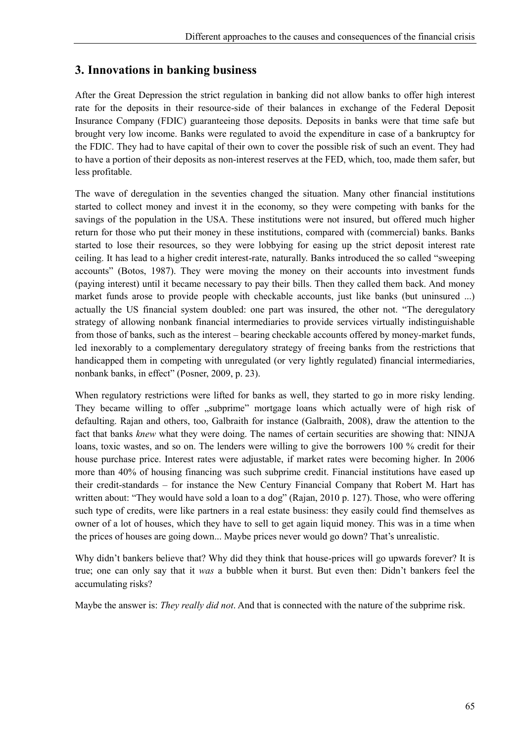#### **3. Innovations in banking business**

After the Great Depression the strict regulation in banking did not allow banks to offer high interest rate for the deposits in their resource-side of their balances in exchange of the Federal Deposit Insurance Company (FDIC) guaranteeing those deposits. Deposits in banks were that time safe but brought very low income. Banks were regulated to avoid the expenditure in case of a bankruptcy for the FDIC. They had to have capital of their own to cover the possible risk of such an event. They had to have a portion of their deposits as non-interest reserves at the FED, which, too, made them safer, but less profitable.

The wave of deregulation in the seventies changed the situation. Many other financial institutions started to collect money and invest it in the economy, so they were competing with banks for the savings of the population in the USA. These institutions were not insured, but offered much higher return for those who put their money in these institutions, compared with (commercial) banks. Banks started to lose their resources, so they were lobbying for easing up the strict deposit interest rate ceiling. It has lead to a higher credit interest-rate, naturally. Banks introduced the so called "sweeping accounts" (Botos, 1987). They were moving the money on their accounts into investment funds (paying interest) until it became necessary to pay their bills. Then they called them back. And money market funds arose to provide people with checkable accounts, just like banks (but uninsured ...) actually the US financial system doubled: one part was insured, the other not. "The deregulatory strategy of allowing nonbank financial intermediaries to provide services virtually indistinguishable from those of banks, such as the interest – bearing checkable accounts offered by money-market funds, led inexorably to a complementary deregulatory strategy of freeing banks from the restrictions that handicapped them in competing with unregulated (or very lightly regulated) financial intermediaries, nonbank banks, in effect" (Posner, 2009, p. 23).

When regulatory restrictions were lifted for banks as well, they started to go in more risky lending. They became willing to offer "subprime" mortgage loans which actually were of high risk of defaulting. Rajan and others, too, Galbraith for instance (Galbraith, 2008), draw the attention to the fact that banks *knew* what they were doing. The names of certain securities are showing that: NINJA loans, toxic wastes, and so on. The lenders were willing to give the borrowers 100 % credit for their house purchase price. Interest rates were adjustable, if market rates were becoming higher. In 2006 more than 40% of housing financing was such subprime credit. Financial institutions have eased up their credit-standards – for instance the New Century Financial Company that Robert M. Hart has written about: "They would have sold a loan to a dog" (Rajan, 2010 p. 127). Those, who were offering such type of credits, were like partners in a real estate business: they easily could find themselves as owner of a lot of houses, which they have to sell to get again liquid money. This was in a time when the prices of houses are going down... Maybe prices never would go down? That's unrealistic.

Why didn't bankers believe that? Why did they think that house-prices will go upwards forever? It is true; one can only say that it *was* a bubble when it burst. But even then: Didn't bankers feel the accumulating risks?

Maybe the answer is: *They really did not*. And that is connected with the nature of the subprime risk.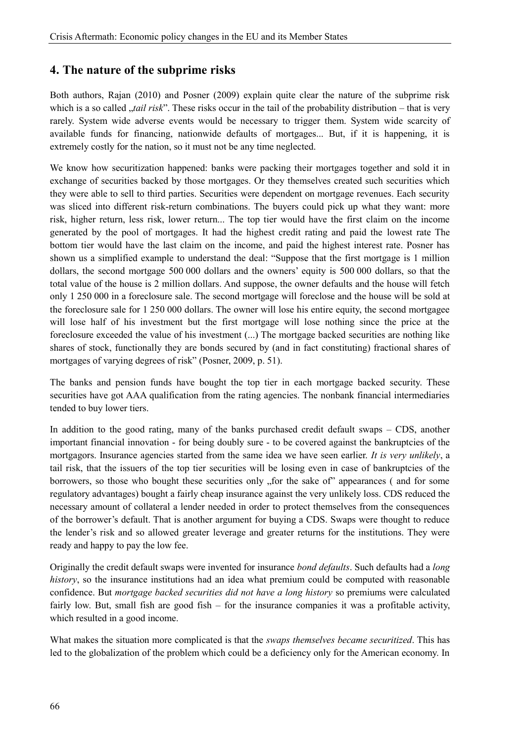### **4. The nature of the subprime risks**

Both authors, Rajan (2010) and Posner (2009) explain quite clear the nature of the subprime risk which is a so called *<sub>rigil risk*". These risks occur in the tail of the probability distribution – that is very</sub> rarely. System wide adverse events would be necessary to trigger them. System wide scarcity of available funds for financing, nationwide defaults of mortgages... But, if it is happening, it is extremely costly for the nation, so it must not be any time neglected.

We know how securitization happened: banks were packing their mortgages together and sold it in exchange of securities backed by those mortgages. Or they themselves created such securities which they were able to sell to third parties. Securities were dependent on mortgage revenues. Each security was sliced into different risk-return combinations. The buyers could pick up what they want: more risk, higher return, less risk, lower return... The top tier would have the first claim on the income generated by the pool of mortgages. It had the highest credit rating and paid the lowest rate The bottom tier would have the last claim on the income, and paid the highest interest rate. Posner has shown us a simplified example to understand the deal: "Suppose that the first mortgage is 1 million dollars, the second mortgage 500 000 dollars and the owners' equity is 500 000 dollars, so that the total value of the house is 2 million dollars. And suppose, the owner defaults and the house will fetch only 1 250 000 in a foreclosure sale. The second mortgage will foreclose and the house will be sold at the foreclosure sale for 1 250 000 dollars. The owner will lose his entire equity, the second mortgagee will lose half of his investment but the first mortgage will lose nothing since the price at the foreclosure exceeded the value of his investment (...) The mortgage backed securities are nothing like shares of stock, functionally they are bonds secured by (and in fact constituting) fractional shares of mortgages of varying degrees of risk" (Posner, 2009, p. 51).

The banks and pension funds have bought the top tier in each mortgage backed security. These securities have got AAA qualification from the rating agencies. The nonbank financial intermediaries tended to buy lower tiers.

In addition to the good rating, many of the banks purchased credit default swaps – CDS, another important financial innovation - for being doubly sure - to be covered against the bankruptcies of the mortgagors. Insurance agencies started from the same idea we have seen earlier. *It is very unlikely*, a tail risk, that the issuers of the top tier securities will be losing even in case of bankruptcies of the borrowers, so those who bought these securities only "for the sake of" appearances (and for some regulatory advantages) bought a fairly cheap insurance against the very unlikely loss. CDS reduced the necessary amount of collateral a lender needed in order to protect themselves from the consequences of the borrower's default. That is another argument for buying a CDS. Swaps were thought to reduce the lender's risk and so allowed greater leverage and greater returns for the institutions. They were ready and happy to pay the low fee.

Originally the credit default swaps were invented for insurance *bond defaults*. Such defaults had a *long history*, so the insurance institutions had an idea what premium could be computed with reasonable confidence. But *mortgage backed securities did not have a long history* so premiums were calculated fairly low. But, small fish are good fish – for the insurance companies it was a profitable activity, which resulted in a good income.

What makes the situation more complicated is that the *swaps themselves became securitized*. This has led to the globalization of the problem which could be a deficiency only for the American economy. In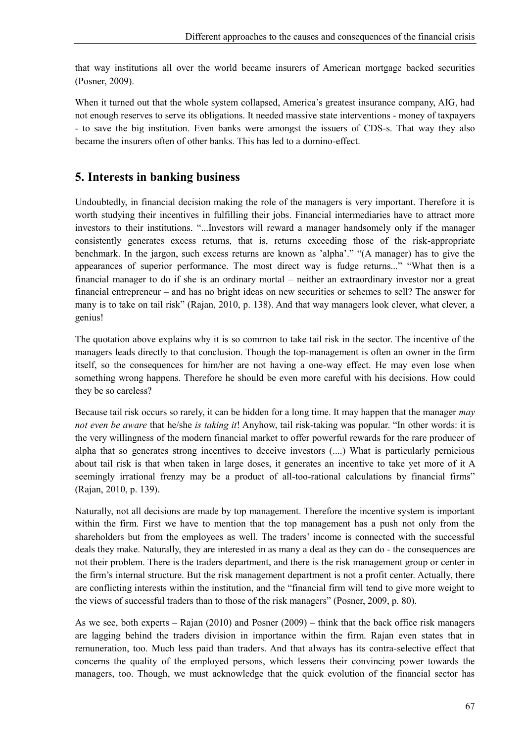that way institutions all over the world became insurers of American mortgage backed securities (Posner, 2009).

When it turned out that the whole system collapsed, America's greatest insurance company, AIG, had not enough reserves to serve its obligations. It needed massive state interventions - money of taxpayers - to save the big institution. Even banks were amongst the issuers of CDS-s. That way they also became the insurers often of other banks. This has led to a domino-effect.

### **5. Interests in banking business**

Undoubtedly, in financial decision making the role of the managers is very important. Therefore it is worth studying their incentives in fulfilling their jobs. Financial intermediaries have to attract more investors to their institutions. "...Investors will reward a manager handsomely only if the manager consistently generates excess returns, that is, returns exceeding those of the risk-appropriate benchmark. In the jargon, such excess returns are known as 'alpha'." "(A manager) has to give the appearances of superior performance. The most direct way is fudge returns..." "What then is a financial manager to do if she is an ordinary mortal – neither an extraordinary investor nor a great financial entrepreneur – and has no bright ideas on new securities or schemes to sell? The answer for many is to take on tail risk" (Rajan, 2010, p. 138). And that way managers look clever, what clever, a genius!

The quotation above explains why it is so common to take tail risk in the sector. The incentive of the managers leads directly to that conclusion. Though the top-management is often an owner in the firm itself, so the consequences for him/her are not having a one-way effect. He may even lose when something wrong happens. Therefore he should be even more careful with his decisions. How could they be so careless?

Because tail risk occurs so rarely, it can be hidden for a long time. It may happen that the manager *may not even be aware* that he/she *is taking it*! Anyhow, tail risk-taking was popular. "In other words: it is the very willingness of the modern financial market to offer powerful rewards for the rare producer of alpha that so generates strong incentives to deceive investors (....) What is particularly pernicious about tail risk is that when taken in large doses, it generates an incentive to take yet more of it A seemingly irrational frenzy may be a product of all-too-rational calculations by financial firms" (Rajan, 2010, p. 139).

Naturally, not all decisions are made by top management. Therefore the incentive system is important within the firm. First we have to mention that the top management has a push not only from the shareholders but from the employees as well. The traders' income is connected with the successful deals they make. Naturally, they are interested in as many a deal as they can do - the consequences are not their problem. There is the traders department, and there is the risk management group or center in the firm's internal structure. But the risk management department is not a profit center. Actually, there are conflicting interests within the institution, and the "financial firm will tend to give more weight to the views of successful traders than to those of the risk managers" (Posner, 2009, p. 80).

As we see, both experts – Rajan (2010) and Posner (2009) – think that the back office risk managers are lagging behind the traders division in importance within the firm. Rajan even states that in remuneration, too. Much less paid than traders. And that always has its contra-selective effect that concerns the quality of the employed persons, which lessens their convincing power towards the managers, too. Though, we must acknowledge that the quick evolution of the financial sector has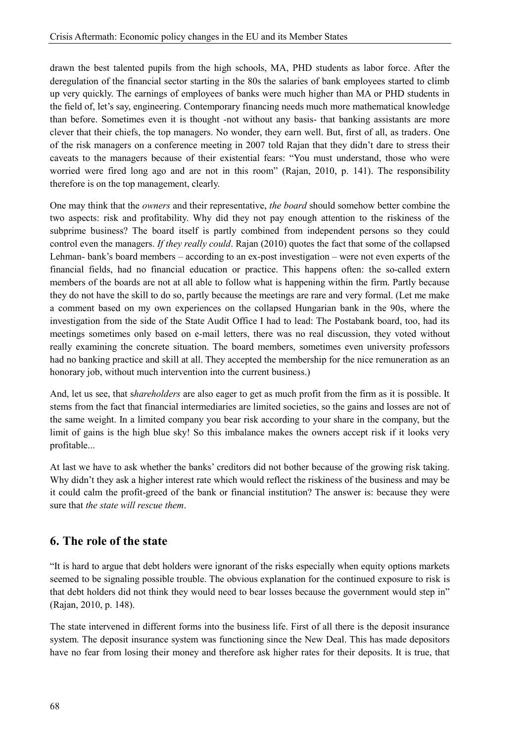drawn the best talented pupils from the high schools, MA, PHD students as labor force. After the deregulation of the financial sector starting in the 80s the salaries of bank employees started to climb up very quickly. The earnings of employees of banks were much higher than MA or PHD students in the field of, let's say, engineering. Contemporary financing needs much more mathematical knowledge than before. Sometimes even it is thought -not without any basis- that banking assistants are more clever that their chiefs, the top managers. No wonder, they earn well. But, first of all, as traders. One of the risk managers on a conference meeting in 2007 told Rajan that they didn't dare to stress their caveats to the managers because of their existential fears: "You must understand, those who were worried were fired long ago and are not in this room" (Rajan, 2010, p. 141). The responsibility therefore is on the top management, clearly.

One may think that the *owners* and their representative, *the board* should somehow better combine the two aspects: risk and profitability. Why did they not pay enough attention to the riskiness of the subprime business? The board itself is partly combined from independent persons so they could control even the managers. *If they really could*. Rajan (2010) quotes the fact that some of the collapsed Lehman- bank's board members – according to an ex-post investigation – were not even experts of the financial fields, had no financial education or practice. This happens often: the so-called extern members of the boards are not at all able to follow what is happening within the firm. Partly because they do not have the skill to do so, partly because the meetings are rare and very formal. (Let me make a comment based on my own experiences on the collapsed Hungarian bank in the 90s, where the investigation from the side of the State Audit Office I had to lead: The Postabank board, too, had its meetings sometimes only based on e-mail letters, there was no real discussion, they voted without really examining the concrete situation. The board members, sometimes even university professors had no banking practice and skill at all. They accepted the membership for the nice remuneration as an honorary job, without much intervention into the current business.)

And, let us see, that s*hareholders* are also eager to get as much profit from the firm as it is possible. It stems from the fact that financial intermediaries are limited societies, so the gains and losses are not of the same weight. In a limited company you bear risk according to your share in the company, but the limit of gains is the high blue sky! So this imbalance makes the owners accept risk if it looks very profitable...

At last we have to ask whether the banks' creditors did not bother because of the growing risk taking. Why didn't they ask a higher interest rate which would reflect the riskiness of the business and may be it could calm the profit-greed of the bank or financial institution? The answer is: because they were sure that *the state will rescue them*.

# **6. The role of the state**

"It is hard to argue that debt holders were ignorant of the risks especially when equity options markets seemed to be signaling possible trouble. The obvious explanation for the continued exposure to risk is that debt holders did not think they would need to bear losses because the government would step in" (Rajan, 2010, p. 148).

The state intervened in different forms into the business life. First of all there is the deposit insurance system. The deposit insurance system was functioning since the New Deal. This has made depositors have no fear from losing their money and therefore ask higher rates for their deposits. It is true, that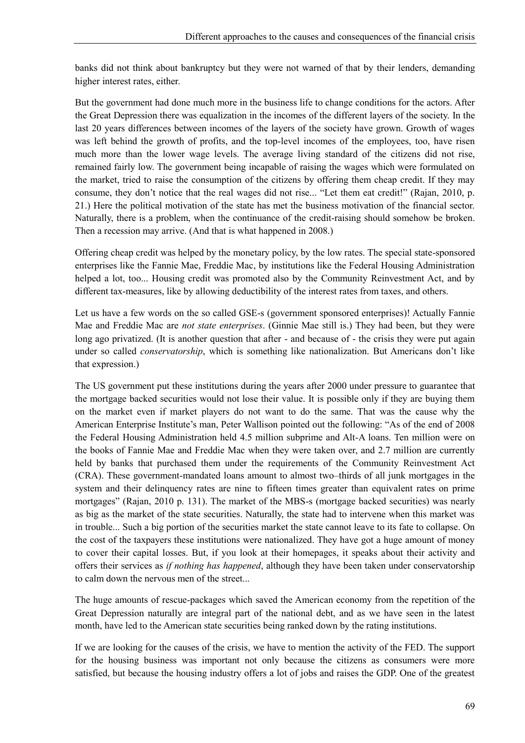banks did not think about bankruptcy but they were not warned of that by their lenders, demanding higher interest rates, either.

But the government had done much more in the business life to change conditions for the actors. After the Great Depression there was equalization in the incomes of the different layers of the society. In the last 20 years differences between incomes of the layers of the society have grown. Growth of wages was left behind the growth of profits, and the top-level incomes of the employees, too, have risen much more than the lower wage levels. The average living standard of the citizens did not rise, remained fairly low. The government being incapable of raising the wages which were formulated on the market, tried to raise the consumption of the citizens by offering them cheap credit. If they may consume, they don't notice that the real wages did not rise... "Let them eat credit!" (Rajan, 2010, p. 21.) Here the political motivation of the state has met the business motivation of the financial sector. Naturally, there is a problem, when the continuance of the credit-raising should somehow be broken. Then a recession may arrive. (And that is what happened in 2008.)

Offering cheap credit was helped by the monetary policy, by the low rates. The special state-sponsored enterprises like the Fannie Mae, Freddie Mac, by institutions like the Federal Housing Administration helped a lot, too... Housing credit was promoted also by the Community Reinvestment Act, and by different tax-measures, like by allowing deductibility of the interest rates from taxes, and others.

Let us have a few words on the so called GSE-s (government sponsored enterprises)! Actually Fannie Mae and Freddie Mac are *not state enterprises*. (Ginnie Mae still is.) They had been, but they were long ago privatized. (It is another question that after - and because of - the crisis they were put again under so called *conservatorship*, which is something like nationalization. But Americans don't like that expression.)

The US government put these institutions during the years after 2000 under pressure to guarantee that the mortgage backed securities would not lose their value. It is possible only if they are buying them on the market even if market players do not want to do the same. That was the cause why the American Enterprise Institute's man, Peter Wallison pointed out the following: "As of the end of 2008 the Federal Housing Administration held 4.5 million subprime and Alt-A loans. Ten million were on the books of Fannie Mae and Freddie Mac when they were taken over, and 2.7 million are currently held by banks that purchased them under the requirements of the Community Reinvestment Act (CRA). These government-mandated loans amount to almost two–thirds of all junk mortgages in the system and their delinquency rates are nine to fifteen times greater than equivalent rates on prime mortgages" (Rajan, 2010 p. 131). The market of the MBS-s (mortgage backed securities) was nearly as big as the market of the state securities. Naturally, the state had to intervene when this market was in trouble... Such a big portion of the securities market the state cannot leave to its fate to collapse. On the cost of the taxpayers these institutions were nationalized. They have got a huge amount of money to cover their capital losses. But, if you look at their homepages, it speaks about their activity and offers their services as *if nothing has happened*, although they have been taken under conservatorship to calm down the nervous men of the street...

The huge amounts of rescue-packages which saved the American economy from the repetition of the Great Depression naturally are integral part of the national debt, and as we have seen in the latest month, have led to the American state securities being ranked down by the rating institutions.

If we are looking for the causes of the crisis, we have to mention the activity of the FED. The support for the housing business was important not only because the citizens as consumers were more satisfied, but because the housing industry offers a lot of jobs and raises the GDP. One of the greatest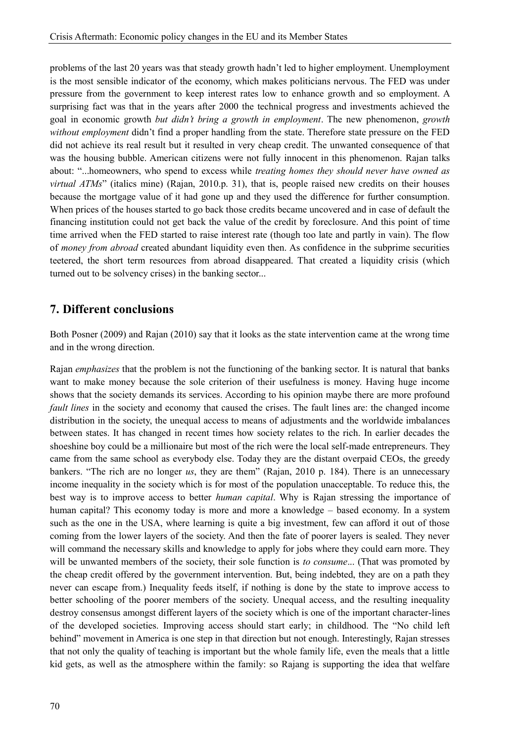problems of the last 20 years was that steady growth hadn't led to higher employment. Unemployment is the most sensible indicator of the economy, which makes politicians nervous. The FED was under pressure from the government to keep interest rates low to enhance growth and so employment. A surprising fact was that in the years after 2000 the technical progress and investments achieved the goal in economic growth *but didn't bring a growth in employment*. The new phenomenon, *growth without employment* didn't find a proper handling from the state. Therefore state pressure on the FED did not achieve its real result but it resulted in very cheap credit. The unwanted consequence of that was the housing bubble. American citizens were not fully innocent in this phenomenon. Rajan talks about: "...homeowners, who spend to excess while *treating homes they should never have owned as virtual ATMs*" (italics mine) (Rajan, 2010.p. 31), that is, people raised new credits on their houses because the mortgage value of it had gone up and they used the difference for further consumption. When prices of the houses started to go back those credits became uncovered and in case of default the financing institution could not get back the value of the credit by foreclosure. And this point of time time arrived when the FED started to raise interest rate (though too late and partly in vain). The flow of *money from abroad* created abundant liquidity even then. As confidence in the subprime securities teetered, the short term resources from abroad disappeared. That created a liquidity crisis (which turned out to be solvency crises) in the banking sector...

#### **7. Different conclusions**

Both Posner (2009) and Rajan (2010) say that it looks as the state intervention came at the wrong time and in the wrong direction.

Rajan *emphasizes* that the problem is not the functioning of the banking sector. It is natural that banks want to make money because the sole criterion of their usefulness is money. Having huge income shows that the society demands its services. According to his opinion maybe there are more profound *fault lines* in the society and economy that caused the crises. The fault lines are: the changed income distribution in the society, the unequal access to means of adjustments and the worldwide imbalances between states. It has changed in recent times how society relates to the rich. In earlier decades the shoeshine boy could be a millionaire but most of the rich were the local self-made entrepreneurs. They came from the same school as everybody else. Today they are the distant overpaid CEOs, the greedy bankers. "The rich are no longer *us*, they are them" (Rajan, 2010 p. 184). There is an unnecessary income inequality in the society which is for most of the population unacceptable. To reduce this, the best way is to improve access to better *human capital*. Why is Rajan stressing the importance of human capital? This economy today is more and more a knowledge – based economy. In a system such as the one in the USA, where learning is quite a big investment, few can afford it out of those coming from the lower layers of the society. And then the fate of poorer layers is sealed. They never will command the necessary skills and knowledge to apply for jobs where they could earn more. They will be unwanted members of the society, their sole function is *to consume*... (That was promoted by the cheap credit offered by the government intervention. But, being indebted, they are on a path they never can escape from.) Inequality feeds itself, if nothing is done by the state to improve access to better schooling of the poorer members of the society. Unequal access, and the resulting inequality destroy consensus amongst different layers of the society which is one of the important character-lines of the developed societies. Improving access should start early; in childhood. The "No child left behind" movement in America is one step in that direction but not enough. Interestingly, Rajan stresses that not only the quality of teaching is important but the whole family life, even the meals that a little kid gets, as well as the atmosphere within the family: so Rajang is supporting the idea that welfare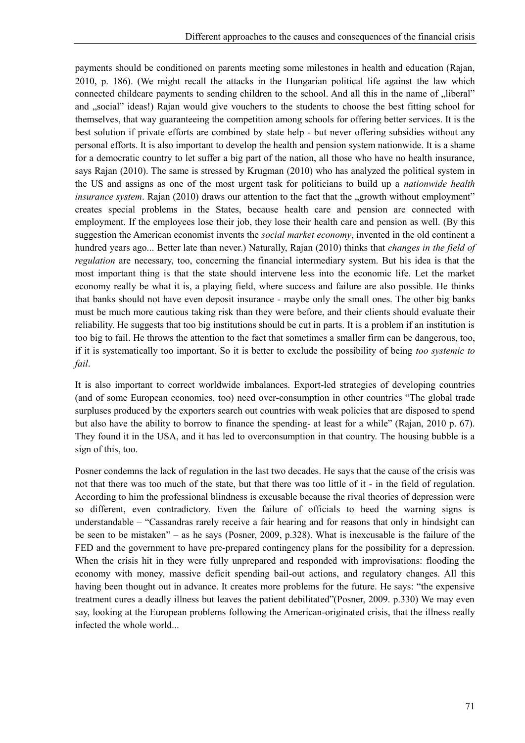payments should be conditioned on parents meeting some milestones in health and education (Rajan, 2010, p. 186). (We might recall the attacks in the Hungarian political life against the law which connected childcare payments to sending children to the school. And all this in the name of "liberal" and "social" ideas!) Rajan would give vouchers to the students to choose the best fitting school for themselves, that way guaranteeing the competition among schools for offering better services. It is the best solution if private efforts are combined by state help - but never offering subsidies without any personal efforts. It is also important to develop the health and pension system nationwide. It is a shame for a democratic country to let suffer a big part of the nation, all those who have no health insurance, says Rajan (2010). The same is stressed by Krugman (2010) who has analyzed the political system in the US and assigns as one of the most urgent task for politicians to build up a *nationwide health insurance system*. Rajan (2010) draws our attention to the fact that the "growth without employment" creates special problems in the States, because health care and pension are connected with employment. If the employees lose their job, they lose their health care and pension as well. (By this suggestion the American economist invents the *social market economy*, invented in the old continent a hundred years ago... Better late than never.) Naturally, Rajan (2010) thinks that *changes in the field of regulation* are necessary, too, concerning the financial intermediary system. But his idea is that the most important thing is that the state should intervene less into the economic life. Let the market economy really be what it is, a playing field, where success and failure are also possible. He thinks that banks should not have even deposit insurance - maybe only the small ones. The other big banks must be much more cautious taking risk than they were before, and their clients should evaluate their reliability. He suggests that too big institutions should be cut in parts. It is a problem if an institution is too big to fail. He throws the attention to the fact that sometimes a smaller firm can be dangerous, too, if it is systematically too important. So it is better to exclude the possibility of being *too systemic to fail*.

It is also important to correct worldwide imbalances. Export-led strategies of developing countries (and of some European economies, too) need over-consumption in other countries "The global trade surpluses produced by the exporters search out countries with weak policies that are disposed to spend but also have the ability to borrow to finance the spending- at least for a while" (Rajan, 2010 p. 67). They found it in the USA, and it has led to overconsumption in that country. The housing bubble is a sign of this, too.

Posner condemns the lack of regulation in the last two decades. He says that the cause of the crisis was not that there was too much of the state, but that there was too little of it - in the field of regulation. According to him the professional blindness is excusable because the rival theories of depression were so different, even contradictory. Even the failure of officials to heed the warning signs is understandable – "Cassandras rarely receive a fair hearing and for reasons that only in hindsight can be seen to be mistaken" – as he says (Posner, 2009, p.328). What is inexcusable is the failure of the FED and the government to have pre-prepared contingency plans for the possibility for a depression. When the crisis hit in they were fully unprepared and responded with improvisations: flooding the economy with money, massive deficit spending bail-out actions, and regulatory changes. All this having been thought out in advance. It creates more problems for the future. He says: "the expensive treatment cures a deadly illness but leaves the patient debilitated"(Posner, 2009. p.330) We may even say, looking at the European problems following the American-originated crisis, that the illness really infected the whole world...